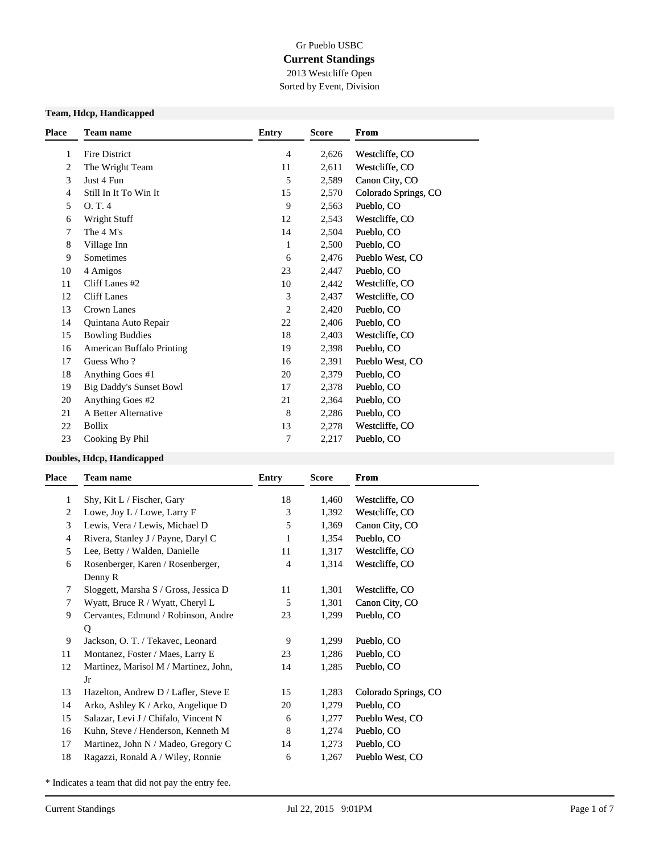# Gr Pueblo USBC **Current Standings** 2013 Westcliffe Open

Sorted by Event, Division

#### **Team, Hdcp, Handicapped**

|    |                                | <b>Entry</b>   | <b>Score</b> | From                 |
|----|--------------------------------|----------------|--------------|----------------------|
| 1  | Fire District                  | $\overline{4}$ | 2,626        | Westcliffe, CO       |
| 2  | The Wright Team                | 11             | 2,611        | Westcliffe, CO       |
| 3  | Just 4 Fun                     | 5              | 2,589        | Canon City, CO       |
| 4  | Still In It To Win It          | 15             | 2,570        | Colorado Springs, CO |
| 5  | O.T.4                          | 9              | 2,563        | Pueblo, CO           |
| 6  | Wright Stuff                   | 12             | 2,543        | Westcliffe, CO       |
| 7  | The 4 M's                      | 14             | 2,504        | Pueblo, CO           |
| 8  | Village Inn                    | 1              | 2,500        | Pueblo, CO           |
| 9  | Sometimes                      | 6              | 2,476        | Pueblo West, CO      |
| 10 | 4 Amigos                       | 23             | 2,447        | Pueblo, CO           |
| 11 | Cliff Lanes #2                 | 10             | 2,442        | Westcliffe, CO       |
| 12 | <b>Cliff Lanes</b>             | 3              | 2,437        | Westcliffe, CO       |
| 13 | <b>Crown Lanes</b>             | 2              | 2,420        | Pueblo, CO           |
| 14 | Quintana Auto Repair           | 22             | 2,406        | Pueblo, CO           |
| 15 | <b>Bowling Buddies</b>         | 18             | 2,403        | Westcliffe, CO       |
| 16 | American Buffalo Printing      | 19             | 2,398        | Pueblo, CO           |
| 17 | Guess Who?                     | 16             | 2,391        | Pueblo West, CO      |
| 18 | Anything Goes #1               | 20             | 2,379        | Pueblo, CO           |
| 19 | <b>Big Daddy's Sunset Bowl</b> | 17             | 2,378        | Pueblo, CO           |
| 20 | Anything Goes #2               | 21             | 2,364        | Pueblo, CO           |
| 21 | A Better Alternative           | 8              | 2,286        | Pueblo, CO           |
| 22 | <b>Bollix</b>                  | 13             | 2,278        | Westcliffe, CO       |
| 23 | Cooking By Phil                | 7              | 2,217        | Pueblo, CO           |

#### **Doubles, Hdcp, Handicapped**

| Place | <b>Team name</b>                      | Entry | <b>Score</b> | <b>From</b>          |
|-------|---------------------------------------|-------|--------------|----------------------|
| 1     | Shy, Kit L / Fischer, Gary            | 18    | 1,460        | Westcliffe, CO       |
| 2     | Lowe, Joy L / Lowe, Larry F           | 3     | 1,392        | Westcliffe, CO       |
| 3     | Lewis, Vera / Lewis, Michael D        | 5     | 1,369        | Canon City, CO       |
| 4     | Rivera, Stanley J / Payne, Daryl C    | 1     | 1,354        | Pueblo, CO           |
| 5     | Lee, Betty / Walden, Danielle         | 11    | 1,317        | Westcliffe, CO       |
| 6     | Rosenberger, Karen / Rosenberger,     | 4     | 1,314        | Westcliffe, CO       |
|       | Denny R                               |       |              |                      |
| 7     | Sloggett, Marsha S / Gross, Jessica D | 11    | 1,301        | Westcliffe, CO       |
| 7     | Wyatt, Bruce R / Wyatt, Cheryl L      | 5     | 1,301        | Canon City, CO       |
| 9     | Cervantes, Edmund / Robinson, Andre   | 23    | 1,299        | Pueblo, CO           |
|       | Q                                     |       |              |                      |
| 9     | Jackson, O. T. / Tekavec, Leonard     | 9     | 1,299        | Pueblo, CO           |
| 11    | Montanez, Foster / Maes, Larry E      | 23    | 1,286        | Pueblo, CO           |
| 12    | Martinez, Marisol M / Martinez, John, | 14    | 1,285        | Pueblo, CO           |
|       | Jr                                    |       |              |                      |
| 13    | Hazelton, Andrew D / Lafler, Steve E  | 15    | 1,283        | Colorado Springs, CO |
| 14    | Arko, Ashley K / Arko, Angelique D    | 20    | 1,279        | Pueblo, CO           |
| 15    | Salazar, Levi J / Chifalo, Vincent N  | 6     | 1,277        | Pueblo West, CO      |
| 16    | Kuhn, Steve / Henderson, Kenneth M    | 8     | 1,274        | Pueblo, CO           |
| 17    | Martinez, John N / Madeo, Gregory C   | 14    | 1,273        | Pueblo, CO           |
| 18    | Ragazzi, Ronald A / Wiley, Ronnie     | 6     | 1,267        | Pueblo West, CO      |
|       |                                       |       |              |                      |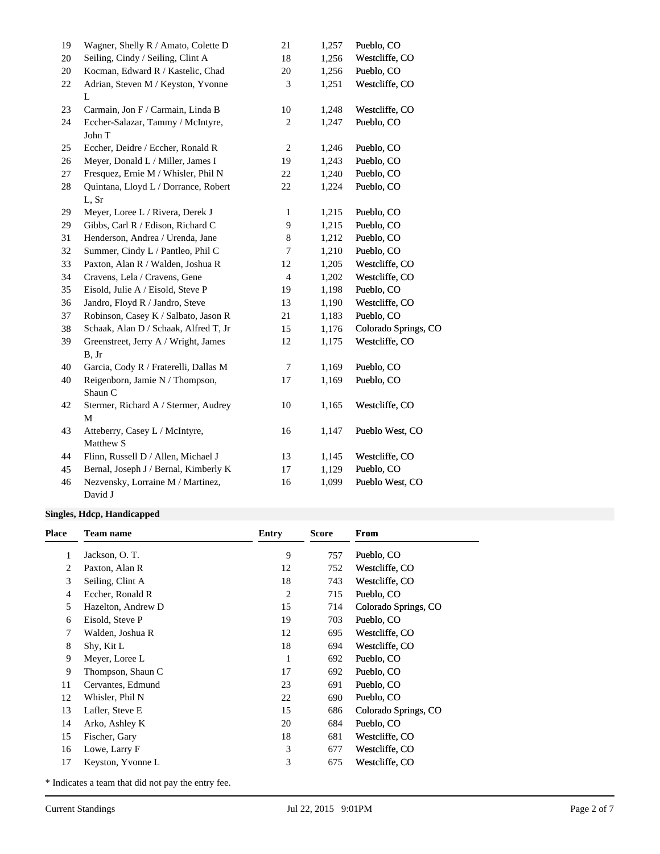| 19 | Wagner, Shelly R / Amato, Colette D   | 21             | 1,257 | Pueblo, CO           |
|----|---------------------------------------|----------------|-------|----------------------|
| 20 | Seiling, Cindy / Seiling, Clint A     | 18             | 1,256 | Westcliffe, CO       |
| 20 | Kocman, Edward R / Kastelic, Chad     | 20             | 1,256 | Pueblo, CO           |
| 22 | Adrian, Steven M / Keyston, Yvonne    | 3              | 1,251 | Westcliffe, CO       |
|    | L                                     |                |       |                      |
| 23 | Carmain, Jon F / Carmain, Linda B     | 10             | 1,248 | Westcliffe, CO       |
| 24 | Eccher-Salazar, Tammy / McIntyre,     | $\mathbf{2}$   | 1,247 | Pueblo, CO           |
|    | John T                                |                |       |                      |
| 25 | Eccher, Deidre / Eccher, Ronald R     | $\sqrt{2}$     | 1,246 | Pueblo, CO           |
| 26 | Meyer, Donald L / Miller, James I     | 19             | 1,243 | Pueblo, CO           |
| 27 | Fresquez, Ernie M / Whisler, Phil N   | 22             | 1,240 | Pueblo, CO           |
| 28 | Quintana, Lloyd L / Dorrance, Robert  | 22             | 1,224 | Pueblo, CO           |
|    | L, Sr                                 |                |       |                      |
| 29 | Meyer, Loree L / Rivera, Derek J      | 1              | 1,215 | Pueblo, CO           |
| 29 | Gibbs, Carl R / Edison, Richard C     | 9              | 1,215 | Pueblo, CO           |
| 31 | Henderson, Andrea / Urenda, Jane      | 8              | 1,212 | Pueblo, CO           |
| 32 | Summer, Cindy L / Pantleo, Phil C     | 7              | 1,210 | Pueblo, CO           |
| 33 | Paxton, Alan R / Walden, Joshua R     | 12             | 1,205 | Westcliffe, CO       |
| 34 | Cravens, Lela / Cravens, Gene         | $\overline{4}$ | 1,202 | Westcliffe, CO       |
| 35 | Eisold, Julie A / Eisold, Steve P     | 19             | 1,198 | Pueblo, CO           |
| 36 | Jandro, Floyd R / Jandro, Steve       | 13             | 1,190 | Westcliffe, CO       |
| 37 | Robinson, Casey K / Salbato, Jason R  | 21             | 1,183 | Pueblo, CO           |
| 38 | Schaak, Alan D / Schaak, Alfred T, Jr | 15             | 1,176 | Colorado Springs, CO |
| 39 | Greenstreet, Jerry A / Wright, James  | 12             | 1,175 | Westcliffe, CO       |
|    | B, Jr                                 |                |       |                      |
| 40 | Garcia, Cody R / Fraterelli, Dallas M | 7              | 1,169 | Pueblo, CO           |
| 40 | Reigenborn, Jamie N / Thompson,       | 17             | 1,169 | Pueblo, CO           |
|    | Shaun C                               |                |       |                      |
| 42 | Stermer, Richard A / Stermer, Audrey  | 10             | 1,165 | Westcliffe, CO       |
|    | M                                     |                |       |                      |
| 43 | Atteberry, Casey L / McIntyre,        | 16             | 1,147 | Pueblo West, CO      |
|    | Matthew S                             |                |       |                      |
| 44 | Flinn, Russell D / Allen, Michael J   | 13             | 1,145 | Westcliffe, CO       |
| 45 | Bernal, Joseph J / Bernal, Kimberly K | 17             | 1,129 | Pueblo, CO           |
| 46 | Nezvensky, Lorraine M / Martinez,     | 16             | 1,099 | Pueblo West, CO      |
|    | David J                               |                |       |                      |

## **Singles, Hdcp, Handicapped**

| <b>Place</b> | <b>Team name</b>   | <b>Entry</b> | <b>Score</b> | From                 |
|--------------|--------------------|--------------|--------------|----------------------|
|              | Jackson, O.T.      | 9            | 757          | Pueblo, CO           |
| 2            | Paxton, Alan R     | 12           | 752          | Westcliffe, CO       |
| 3            | Seiling, Clint A   | 18           | 743          | Westcliffe, CO       |
| 4            | Eccher, Ronald R   | 2            | 715          | Pueblo, CO           |
| 5            | Hazelton, Andrew D | 15           | 714          | Colorado Springs, CO |
| 6            | Eisold, Steve P    | 19           | 703          | Pueblo, CO           |
| 7            | Walden, Joshua R   | 12           | 695          | Westcliffe, CO       |
| 8            | Shy, Kit L         | 18           | 694          | Westcliffe, CO       |
| 9            | Meyer, Loree L     | 1            | 692          | Pueblo, CO           |
| 9            | Thompson, Shaun C  | 17           | 692          | Pueblo, CO           |
| 11           | Cervantes, Edmund  | 23           | 691          | Pueblo, CO           |
| 12           | Whisler, Phil N    | 22           | 690          | Pueblo, CO           |
| 13           | Lafler, Steve E    | 15           | 686          | Colorado Springs, CO |
| 14           | Arko, Ashley K     | 20           | 684          | Pueblo, CO           |
| 15           | Fischer, Gary      | 18           | 681          | Westcliffe, CO       |
| 16           | Lowe, Larry F      | 3            | 677          | Westcliffe, CO       |
| 17           | Keyston, Yvonne L  | 3            | 675          | Westcliffe, CO       |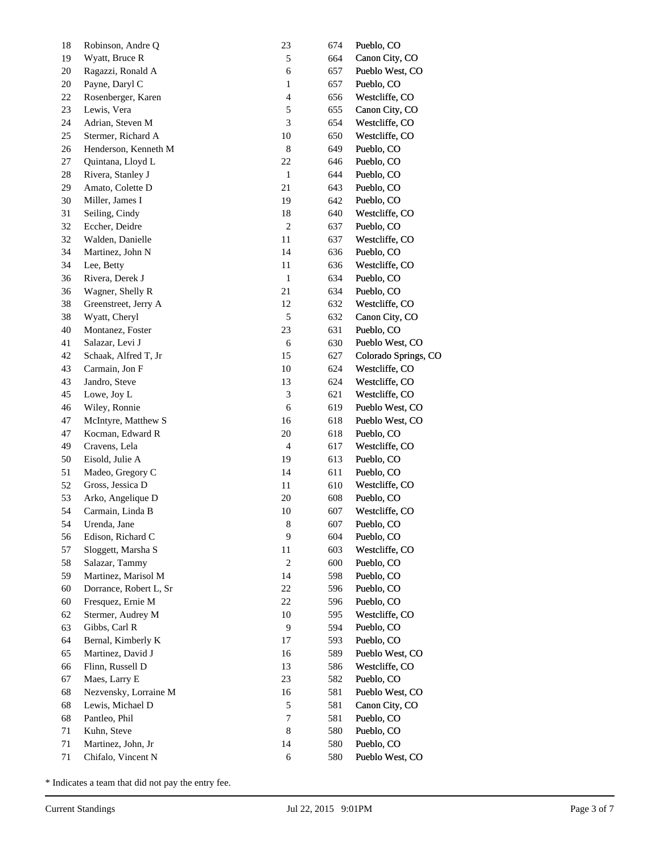| 18 | Robinson, Andre Q      | 23                       | 674 | Pueblo, CO           |
|----|------------------------|--------------------------|-----|----------------------|
| 19 | Wyatt, Bruce R         | 5                        | 664 | Canon City, CO       |
| 20 | Ragazzi, Ronald A      | 6                        | 657 | Pueblo West, CO      |
| 20 | Payne, Daryl C         | 1                        | 657 | Pueblo, CO           |
| 22 | Rosenberger, Karen     | 4                        | 656 | Westcliffe, CO       |
| 23 | Lewis, Vera            | 5                        | 655 | Canon City, CO       |
| 24 | Adrian, Steven M       | 3                        | 654 | Westcliffe, CO       |
| 25 | Stermer, Richard A     | $10\,$                   | 650 | Westcliffe, CO       |
| 26 | Henderson, Kenneth M   | 8                        | 649 | Pueblo, CO           |
| 27 | Quintana, Lloyd L      | 22                       | 646 | Pueblo, CO           |
| 28 | Rivera, Stanley J      | $\mathbf{1}$             | 644 | Pueblo, CO           |
| 29 | Amato, Colette D       | 21                       | 643 | Pueblo, CO           |
| 30 | Miller, James I        | 19                       | 642 | Pueblo, CO           |
| 31 | Seiling, Cindy         | 18                       | 640 | Westcliffe, CO       |
| 32 | Eccher, Deidre         | $\overline{\mathbf{c}}$  | 637 | Pueblo, CO           |
| 32 | Walden, Danielle       | $11\,$                   | 637 | Westcliffe, CO       |
| 34 | Martinez, John N       | 14                       | 636 | Pueblo, CO           |
| 34 | Lee, Betty             | 11                       | 636 | Westcliffe, CO       |
| 36 | Rivera, Derek J        | $\,1\,$                  | 634 | Pueblo, CO           |
| 36 | Wagner, Shelly R       | 21                       | 634 | Pueblo, CO           |
| 38 | Greenstreet, Jerry A   | 12                       | 632 | Westcliffe, CO       |
| 38 | Wyatt, Cheryl          | 5                        | 632 | Canon City, CO       |
| 40 | Montanez, Foster       | 23                       | 631 | Pueblo, CO           |
| 41 | Salazar, Levi J        | 6                        | 630 | Pueblo West, CO      |
| 42 | Schaak, Alfred T, Jr   | 15                       | 627 | Colorado Springs, CO |
| 43 | Carmain, Jon F         | $10\,$                   | 624 | Westcliffe, CO       |
| 43 | Jandro, Steve          | 13                       | 624 | Westcliffe, CO       |
| 45 | Lowe, Joy L            | $\mathfrak{Z}$           | 621 | Westcliffe, CO       |
| 46 | Wiley, Ronnie          | 6                        | 619 | Pueblo West, CO      |
| 47 | McIntyre, Matthew S    | 16                       | 618 | Pueblo West, CO      |
| 47 | Kocman, Edward R       | $20\,$                   | 618 | Pueblo, CO           |
| 49 | Cravens, Lela          | $\overline{\mathcal{A}}$ | 617 | Westcliffe, CO       |
| 50 | Eisold, Julie A        | 19                       | 613 | Pueblo, CO           |
| 51 | Madeo, Gregory C       | 14                       | 611 | Pueblo, CO           |
| 52 | Gross, Jessica D       | 11                       | 610 | Westcliffe, CO       |
| 53 | Arko, Angelique D      | $20\,$                   | 608 | Pueblo, CO           |
| 54 | Carmain, Linda B       | 10                       | 607 | Westcliffe, CO       |
| 54 | Urenda, Jane           | $\,$ 8 $\,$              | 607 | Pueblo, CO           |
| 56 | Edison, Richard C      | 9                        | 604 | Pueblo, CO           |
| 57 | Sloggett, Marsha S     | 11                       | 603 | Westcliffe, CO       |
|    | Salazar, Tammy         | $\boldsymbol{2}$         | 600 | Pueblo, CO           |
| 58 |                        | 14                       |     | Pueblo, CO           |
| 59 | Martinez, Marisol M    |                          | 598 |                      |
| 60 | Dorrance, Robert L, Sr | 22                       | 596 | Pueblo, CO           |
| 60 | Fresquez, Ernie M      | 22                       | 596 | Pueblo, CO           |
| 62 | Stermer, Audrey M      | $10\,$                   | 595 | Westcliffe, CO       |
| 63 | Gibbs, Carl R          | 9                        | 594 | Pueblo, CO           |
| 64 | Bernal, Kimberly K     | $17\,$                   | 593 | Pueblo, CO           |
| 65 | Martinez, David J      | 16                       | 589 | Pueblo West, CO      |
| 66 | Flinn, Russell D       | 13                       | 586 | Westcliffe, CO       |
| 67 | Maes, Larry E          | 23                       | 582 | Pueblo, CO           |
| 68 | Nezvensky, Lorraine M  | 16                       | 581 | Pueblo West, CO      |
| 68 | Lewis, Michael D       | 5                        | 581 | Canon City, CO       |
| 68 | Pantleo, Phil          | 7                        | 581 | Pueblo, CO           |
| 71 | Kuhn, Steve            | 8                        | 580 | Pueblo, CO           |
| 71 | Martinez, John, Jr     | 14                       | 580 | Pueblo, CO           |
| 71 | Chifalo, Vincent N     | 6                        | 580 | Pueblo West, CO      |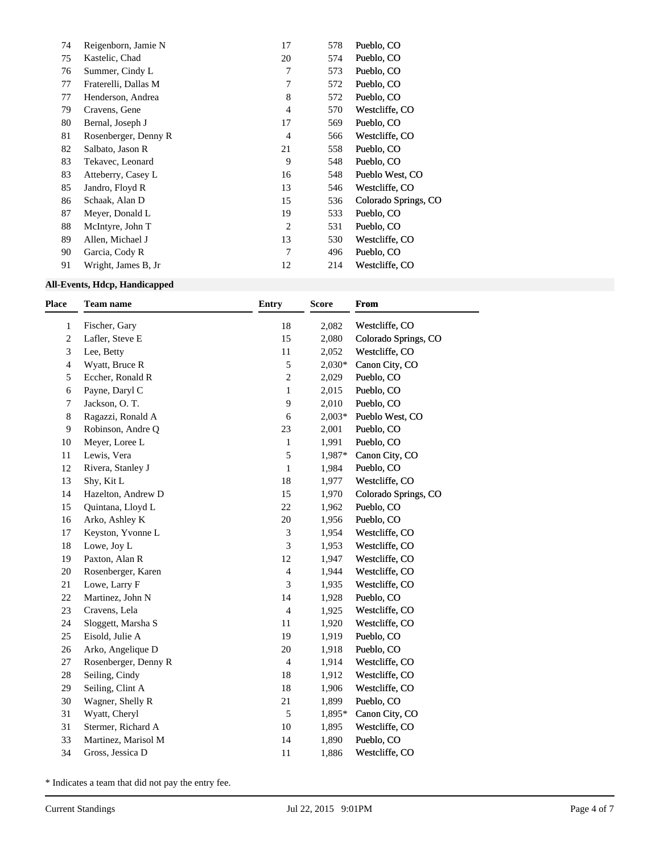| 74 | Reigenborn, Jamie N  | 17             | 578 | Pueblo, CO           |
|----|----------------------|----------------|-----|----------------------|
| 75 | Kastelic, Chad       | 20             | 574 | Pueblo, CO           |
| 76 | Summer, Cindy L      | 7              | 573 | Pueblo, CO           |
| 77 | Fraterelli, Dallas M | 7              | 572 | Pueblo, CO           |
| 77 | Henderson, Andrea    | 8              | 572 | Pueblo, CO           |
| 79 | Cravens, Gene        | 4              | 570 | Westcliffe, CO       |
| 80 | Bernal, Joseph J     | 17             | 569 | Pueblo, CO           |
| 81 | Rosenberger, Denny R | 4              | 566 | Westcliffe, CO       |
| 82 | Salbato, Jason R     | 21             | 558 | Pueblo, CO           |
| 83 | Tekavec, Leonard     | 9              | 548 | Pueblo, CO           |
| 83 | Atteberry, Casey L   | 16             | 548 | Pueblo West, CO      |
| 85 | Jandro, Floyd R      | 13             | 546 | Westcliffe, CO       |
| 86 | Schaak, Alan D       | 15             | 536 | Colorado Springs, CO |
| 87 | Meyer, Donald L      | 19             | 533 | Pueblo, CO           |
| 88 | McIntyre, John T     | $\overline{2}$ | 531 | Pueblo, CO           |
| 89 | Allen, Michael J     | 13             | 530 | Westcliffe, CO       |
| 90 | Garcia, Cody R       | 7              | 496 | Pueblo, CO           |
| 91 | Wright, James B, Jr  | 12             | 214 | Westcliffe, CO       |

## **All-Events, Hdcp, Handicapped**

|                      | <b>Entry</b>                    | <b>Score</b> | <b>From</b>          |
|----------------------|---------------------------------|--------------|----------------------|
|                      |                                 | 2,082        | Westcliffe, CO       |
| Lafler, Steve E      | 15                              | 2,080        | Colorado Springs, CO |
| Lee, Betty           | 11                              | 2,052        | Westcliffe, CO       |
| Wyatt, Bruce R       | $\sqrt{5}$                      | $2,030*$     | Canon City, CO       |
| Eccher, Ronald R     | $\overline{\mathbf{c}}$         | 2,029        | Pueblo, CO           |
| Payne, Daryl C       | $\mathbf{1}$                    | 2,015        | Pueblo, CO           |
| Jackson, O.T.        | 9                               | 2,010        | Pueblo, CO           |
| Ragazzi, Ronald A    | 6                               | $2,003*$     | Pueblo West, CO      |
| Robinson, Andre Q    | 23                              | 2,001        | Pueblo, CO           |
| Meyer, Loree L       | 1                               | 1,991        | Pueblo, CO           |
| Lewis, Vera          | 5                               | 1,987*       | Canon City, CO       |
| Rivera, Stanley J    | 1                               | 1,984        | Pueblo, CO           |
| Shy, Kit L           | 18                              | 1,977        | Westcliffe, CO       |
| Hazelton, Andrew D   | 15                              | 1,970        | Colorado Springs, CO |
| Quintana, Lloyd L    | 22                              | 1,962        | Pueblo, CO           |
| Arko, Ashley K       | 20                              | 1,956        | Pueblo, CO           |
| Keyston, Yvonne L    | 3                               | 1,954        | Westcliffe, CO       |
| Lowe, Joy L          | $\ensuremath{\mathfrak{Z}}$     | 1,953        | Westcliffe, CO       |
| Paxton, Alan R       | $12\,$                          | 1,947        | Westcliffe, CO       |
| Rosenberger, Karen   | $\overline{4}$                  | 1,944        | Westcliffe, CO       |
| Lowe, Larry F        | 3                               | 1,935        | Westcliffe, CO       |
| Martinez, John N     | 14                              | 1,928        | Pueblo, CO           |
| Cravens, Lela        | $\overline{4}$                  | 1,925        | Westcliffe, CO       |
| Sloggett, Marsha S   | 11                              | 1,920        | Westcliffe, CO       |
| Eisold, Julie A      | 19                              | 1,919        | Pueblo, CO           |
| Arko, Angelique D    | 20                              | 1,918        | Pueblo, CO           |
| Rosenberger, Denny R | $\overline{4}$                  | 1,914        | Westcliffe, CO       |
|                      | 18                              | 1,912        | Westcliffe, CO       |
| Seiling, Clint A     | 18                              | 1,906        | Westcliffe, CO       |
| Wagner, Shelly R     | 21                              | 1,899        | Pueblo, CO           |
| Wyatt, Cheryl        | 5                               | 1,895*       | Canon City, CO       |
| Stermer, Richard A   | $10\,$                          | 1,895        | Westcliffe, CO       |
| Martinez, Marisol M  | 14                              | 1,890        | Pueblo, CO           |
| Gross, Jessica D     | $11\,$                          | 1,886        | Westcliffe, CO       |
|                      | Fischer, Gary<br>Seiling, Cindy | 18           |                      |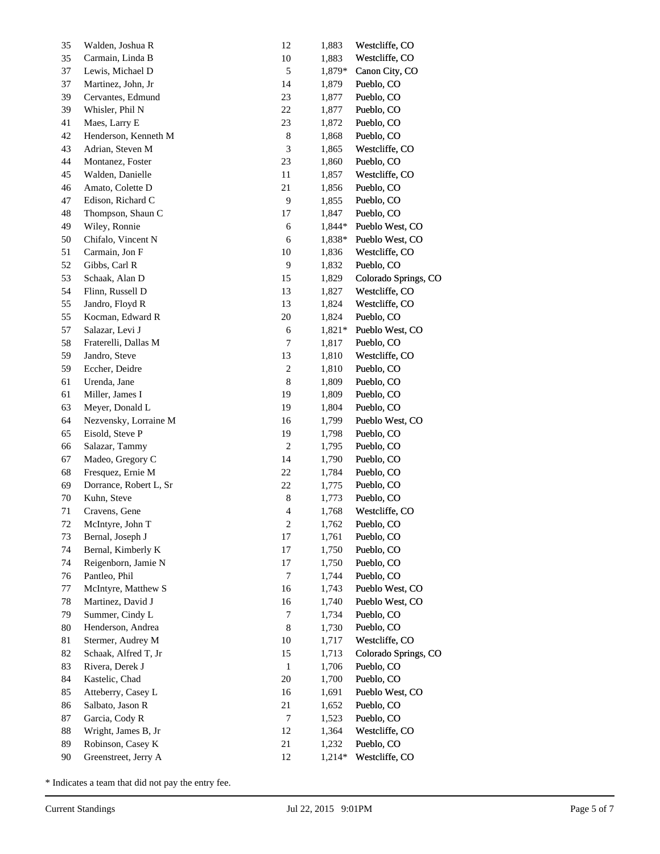| 35 | Walden, Joshua R       | 12                      | 1,883  | Westcliffe, CO       |
|----|------------------------|-------------------------|--------|----------------------|
| 35 | Carmain, Linda B       | 10                      | 1,883  | Westcliffe, CO       |
| 37 | Lewis, Michael D       | 5                       | 1,879* | Canon City, CO       |
| 37 | Martinez, John, Jr     | 14                      | 1,879  | Pueblo, CO           |
| 39 | Cervantes, Edmund      | 23                      | 1,877  | Pueblo, CO           |
| 39 | Whisler, Phil N        | 22                      | 1,877  | Pueblo, CO           |
| 41 | Maes, Larry E          | 23                      | 1,872  | Pueblo, CO           |
| 42 | Henderson, Kenneth M   | 8                       | 1,868  | Pueblo, CO           |
| 43 | Adrian, Steven M       | $\mathfrak{Z}$          | 1,865  | Westcliffe, CO       |
| 44 | Montanez, Foster       | 23                      | 1,860  | Pueblo, CO           |
| 45 | Walden, Danielle       | 11                      | 1,857  | Westcliffe, CO       |
| 46 | Amato, Colette D       | 21                      | 1,856  | Pueblo, CO           |
| 47 | Edison, Richard C      | 9                       | 1,855  | Pueblo, CO           |
| 48 | Thompson, Shaun C      | 17                      | 1,847  | Pueblo, CO           |
| 49 | Wiley, Ronnie          | 6                       | 1,844* | Pueblo West, CO      |
| 50 | Chifalo, Vincent N     | 6                       | 1,838* | Pueblo West, CO      |
| 51 | Carmain, Jon F         | 10                      | 1,836  | Westcliffe, CO       |
| 52 | Gibbs, Carl R          | 9                       | 1,832  | Pueblo, CO           |
| 53 | Schaak, Alan D         | 15                      | 1,829  | Colorado Springs, CO |
| 54 | Flinn, Russell D       | 13                      | 1,827  | Westcliffe, CO       |
| 55 | Jandro, Floyd R        | 13                      | 1,824  | Westcliffe, CO       |
| 55 | Kocman, Edward R       | 20                      | 1,824  | Pueblo, CO           |
| 57 | Salazar, Levi J        | 6                       | 1,821* | Pueblo West, CO      |
| 58 | Fraterelli, Dallas M   | 7                       | 1,817  | Pueblo, CO           |
| 59 | Jandro, Steve          | 13                      | 1,810  | Westcliffe, CO       |
| 59 | Eccher, Deidre         | $\sqrt{2}$              | 1,810  | Pueblo, CO           |
| 61 | Urenda, Jane           | $\,$ 8 $\,$             | 1,809  | Pueblo, CO           |
| 61 | Miller, James I        | 19                      | 1,809  | Pueblo, CO           |
| 63 | Meyer, Donald L        | 19                      | 1,804  | Pueblo, CO           |
| 64 | Nezvensky, Lorraine M  | 16                      | 1,799  | Pueblo West, CO      |
| 65 | Eisold, Steve P        | 19                      | 1,798  | Pueblo, CO           |
| 66 | Salazar, Tammy         | $\sqrt{2}$              | 1,795  | Pueblo, CO           |
| 67 | Madeo, Gregory C       | 14                      | 1,790  | Pueblo, CO           |
| 68 | Fresquez, Ernie M      | $22\,$                  | 1,784  | Pueblo, CO           |
| 69 | Dorrance, Robert L, Sr | 22                      | 1,775  | Pueblo, CO           |
| 70 | Kuhn, Steve            | 8                       | 1,773  | Pueblo, CO           |
| 71 | Cravens, Gene          | $\overline{4}$          | 1,768  | Westcliffe, CO       |
| 72 | McIntyre, John T       | $\overline{\mathbf{c}}$ | 1,762  | Pueblo, CO           |
| 73 | Bernal, Joseph J       | $17\,$                  | 1,761  | Pueblo, CO           |
| 74 | Bernal, Kimberly K     | $17\,$                  | 1,750  | Pueblo, CO           |
| 74 | Reigenborn, Jamie N    | $17\,$                  | 1,750  | Pueblo, CO           |
| 76 | Pantleo, Phil          | $\boldsymbol{7}$        | 1,744  | Pueblo, CO           |
| 77 | McIntyre, Matthew S    | 16                      | 1,743  | Pueblo West, CO      |
| 78 | Martinez, David J      | 16                      | 1,740  | Pueblo West, CO      |
| 79 | Summer, Cindy L        | 7                       | 1,734  | Pueblo, CO           |
| 80 | Henderson, Andrea      | $\,$ 8 $\,$             | 1,730  | Pueblo, CO           |
| 81 | Stermer, Audrey M      | $10\,$                  | 1,717  | Westcliffe, CO       |
| 82 | Schaak, Alfred T, Jr   | 15                      | 1,713  | Colorado Springs, CO |
| 83 | Rivera, Derek J        | $\mathbf{1}$            | 1,706  | Pueblo, CO           |
| 84 | Kastelic, Chad         | $20\,$                  | 1,700  | Pueblo, CO           |
| 85 | Atteberry, Casey L     | 16                      | 1,691  | Pueblo West, CO      |
| 86 | Salbato, Jason R       | 21                      | 1,652  | Pueblo, CO           |
| 87 | Garcia, Cody R         | $\tau$                  | 1,523  | Pueblo, CO           |
| 88 | Wright, James B, Jr    | 12                      | 1,364  | Westcliffe, CO       |
| 89 | Robinson, Casey K      | $21\,$                  | 1,232  | Pueblo, CO           |
| 90 | Greenstreet, Jerry A   | 12                      | 1,214* | Westcliffe, CO       |
|    |                        |                         |        |                      |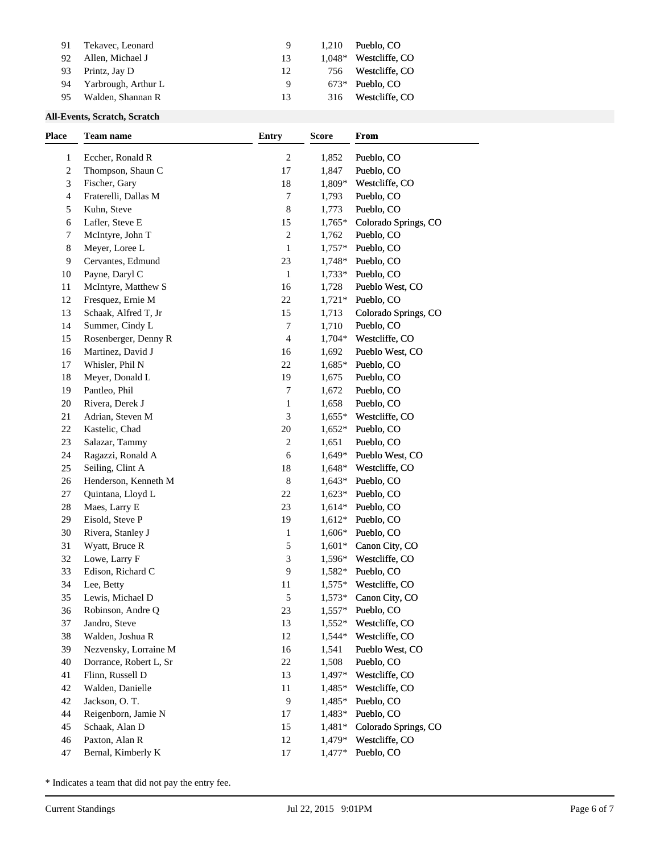| 91 | Tekavec, Leonard    |    | 1.210  | Pueblo, CO        |
|----|---------------------|----|--------|-------------------|
| 92 | Allen, Michael J    | 13 | 1.048* | Westcliffe, CO    |
| 93 | Printz, Jay D       | 12 | 756    | Westcliffe. CO    |
| 94 | Yarbrough, Arthur L | Q  |        | $673*$ Pueblo, CO |
| 95 | Walden, Shannan R   | 13 | 316    | Westcliffe. CO    |
|    |                     |    |        |                   |

## **All-Events, Scratch, Scratch**

| $\overline{\mathbf{c}}$<br>1,852<br>Pueblo, CO<br>$\mathbf{1}$<br>Eccher, Ronald R<br>2<br>Thompson, Shaun C<br>17<br>1,847<br>Pueblo, CO<br>18<br>3<br>Fischer, Gary<br>1,809*<br>Westcliffe, CO<br>$\overline{7}$<br>Fraterelli, Dallas M<br>1,793<br>Pueblo, CO<br>4<br>8<br>5<br>Kuhn, Steve<br>1,773<br>Pueblo, CO<br>Lafler, Steve E<br>15<br>Colorado Springs, CO<br>6<br>$1,765*$<br>$\overline{\mathbf{c}}$<br>7<br>McIntyre, John T<br>Pueblo, CO<br>1,762<br>8<br>Meyer, Loree L<br>$\mathbf{1}$<br>$1,757*$<br>Pueblo, CO<br>23<br>9<br>Cervantes, Edmund<br>1,748*<br>Pueblo, CO<br>Payne, Daryl C<br>$\mathbf{1}$<br>$1,733*$<br>Pueblo, CO<br>10<br>McIntyre, Matthew S<br>16<br>1,728<br>Pueblo West, CO<br>11<br>22<br>Fresquez, Ernie M<br>$1,721*$<br>Pueblo, CO<br>12<br>15<br>Schaak, Alfred T, Jr<br>1,713<br>Colorado Springs, CO<br>13<br>14<br>Summer, Cindy L<br>7<br>1,710<br>Pueblo, CO<br>Rosenberger, Denny R<br>4<br>$1,704*$<br>Westcliffe, CO<br>15<br>Martinez, David J<br>16<br>1,692<br>Pueblo West, CO<br>16<br>Whisler, Phil N<br>22<br>1,685*<br>Pueblo, CO<br>17<br>Meyer, Donald L<br>19<br>Pueblo, CO<br>18<br>1,675<br>Pantleo, Phil<br>7<br>1,672<br>Pueblo, CO<br>19<br>Rivera, Derek J<br>Pueblo, CO<br>20<br>1<br>1,658<br>$\mathfrak{Z}$<br>21<br>Adrian, Steven M<br>Westcliffe, CO<br>$1,655*$<br>22<br>Kastelic, Chad<br>$20\,$<br>$1,652*$<br>Pueblo, CO<br>23<br>Salazar, Tammy<br>2<br>1,651<br>Pueblo, CO<br>24<br>Ragazzi, Ronald A<br>6<br>Pueblo West, CO<br>1,649*<br>25<br>Seiling, Clint A<br>18<br>Westcliffe, CO<br>$1,648*$<br>8<br>Henderson, Kenneth M<br>$1,643*$<br>Pueblo, CO<br>26<br>27<br>Quintana, Lloyd L<br>22<br>$1,623*$<br>Pueblo, CO<br>23<br>28<br>Maes, Larry E<br>$1,614*$<br>Pueblo, CO<br>Eisold, Steve P<br>19<br>$1,612*$<br>Pueblo, CO<br>29<br>Rivera, Stanley J<br>$1,606*$<br>Pueblo, CO<br>30<br>1<br>5<br>31<br>Wyatt, Bruce R<br>$1,601*$<br>Canon City, CO<br>3<br>32<br>Lowe, Larry F<br>1,596*<br>Westcliffe, CO<br>9<br>33<br>Edison, Richard C<br>$1,582*$<br>Pueblo, CO<br>Westcliffe, CO<br>34<br>Lee, Betty<br>11<br>$1,575*$<br>5<br>35<br>Lewis, Michael D<br>$1,573*$<br>Canon City, CO<br>23<br>36<br>$1,557*$<br>Pueblo, CO<br>Robinson, Andre Q<br>13<br>37<br>Jandro, Steve<br>$1,552*$<br>Westcliffe, CO<br>38<br>Walden, Joshua R<br>12<br>1,544*<br>Westcliffe, CO<br>Nezvensky, Lorraine M<br>16<br>1,541<br>Pueblo West, CO<br>39<br>Dorrance, Robert L, Sr<br>22<br>1,508<br>Pueblo, CO<br>40<br>Flinn, Russell D<br>13<br>$1,497*$<br>Westcliffe, CO<br>41<br>Walden, Danielle<br>42<br>11<br>$1,485*$<br>Westcliffe, CO<br>9<br>Jackson, O.T.<br>$1,485*$<br>Pueblo, CO<br>42<br>Reigenborn, Jamie N<br>1,483*<br>Pueblo, CO<br>44<br>17<br>Schaak, Alan D<br>15<br>Colorado Springs, CO<br>45<br>$1,481*$ | <b>Place</b> | Team name | <b>Entry</b> | <b>Score</b> | <b>From</b> |
|--------------------------------------------------------------------------------------------------------------------------------------------------------------------------------------------------------------------------------------------------------------------------------------------------------------------------------------------------------------------------------------------------------------------------------------------------------------------------------------------------------------------------------------------------------------------------------------------------------------------------------------------------------------------------------------------------------------------------------------------------------------------------------------------------------------------------------------------------------------------------------------------------------------------------------------------------------------------------------------------------------------------------------------------------------------------------------------------------------------------------------------------------------------------------------------------------------------------------------------------------------------------------------------------------------------------------------------------------------------------------------------------------------------------------------------------------------------------------------------------------------------------------------------------------------------------------------------------------------------------------------------------------------------------------------------------------------------------------------------------------------------------------------------------------------------------------------------------------------------------------------------------------------------------------------------------------------------------------------------------------------------------------------------------------------------------------------------------------------------------------------------------------------------------------------------------------------------------------------------------------------------------------------------------------------------------------------------------------------------------------------------------------------------------------------------------------------------------------------------------------------------------------------------------------------------------------------------------------------------------------------------------------------------------------------------------------------------------------------------------------------------------------------------------------------------------------------|--------------|-----------|--------------|--------------|-------------|
|                                                                                                                                                                                                                                                                                                                                                                                                                                                                                                                                                                                                                                                                                                                                                                                                                                                                                                                                                                                                                                                                                                                                                                                                                                                                                                                                                                                                                                                                                                                                                                                                                                                                                                                                                                                                                                                                                                                                                                                                                                                                                                                                                                                                                                                                                                                                                                                                                                                                                                                                                                                                                                                                                                                                                                                                                                |              |           |              |              |             |
|                                                                                                                                                                                                                                                                                                                                                                                                                                                                                                                                                                                                                                                                                                                                                                                                                                                                                                                                                                                                                                                                                                                                                                                                                                                                                                                                                                                                                                                                                                                                                                                                                                                                                                                                                                                                                                                                                                                                                                                                                                                                                                                                                                                                                                                                                                                                                                                                                                                                                                                                                                                                                                                                                                                                                                                                                                |              |           |              |              |             |
|                                                                                                                                                                                                                                                                                                                                                                                                                                                                                                                                                                                                                                                                                                                                                                                                                                                                                                                                                                                                                                                                                                                                                                                                                                                                                                                                                                                                                                                                                                                                                                                                                                                                                                                                                                                                                                                                                                                                                                                                                                                                                                                                                                                                                                                                                                                                                                                                                                                                                                                                                                                                                                                                                                                                                                                                                                |              |           |              |              |             |
|                                                                                                                                                                                                                                                                                                                                                                                                                                                                                                                                                                                                                                                                                                                                                                                                                                                                                                                                                                                                                                                                                                                                                                                                                                                                                                                                                                                                                                                                                                                                                                                                                                                                                                                                                                                                                                                                                                                                                                                                                                                                                                                                                                                                                                                                                                                                                                                                                                                                                                                                                                                                                                                                                                                                                                                                                                |              |           |              |              |             |
|                                                                                                                                                                                                                                                                                                                                                                                                                                                                                                                                                                                                                                                                                                                                                                                                                                                                                                                                                                                                                                                                                                                                                                                                                                                                                                                                                                                                                                                                                                                                                                                                                                                                                                                                                                                                                                                                                                                                                                                                                                                                                                                                                                                                                                                                                                                                                                                                                                                                                                                                                                                                                                                                                                                                                                                                                                |              |           |              |              |             |
|                                                                                                                                                                                                                                                                                                                                                                                                                                                                                                                                                                                                                                                                                                                                                                                                                                                                                                                                                                                                                                                                                                                                                                                                                                                                                                                                                                                                                                                                                                                                                                                                                                                                                                                                                                                                                                                                                                                                                                                                                                                                                                                                                                                                                                                                                                                                                                                                                                                                                                                                                                                                                                                                                                                                                                                                                                |              |           |              |              |             |
|                                                                                                                                                                                                                                                                                                                                                                                                                                                                                                                                                                                                                                                                                                                                                                                                                                                                                                                                                                                                                                                                                                                                                                                                                                                                                                                                                                                                                                                                                                                                                                                                                                                                                                                                                                                                                                                                                                                                                                                                                                                                                                                                                                                                                                                                                                                                                                                                                                                                                                                                                                                                                                                                                                                                                                                                                                |              |           |              |              |             |
|                                                                                                                                                                                                                                                                                                                                                                                                                                                                                                                                                                                                                                                                                                                                                                                                                                                                                                                                                                                                                                                                                                                                                                                                                                                                                                                                                                                                                                                                                                                                                                                                                                                                                                                                                                                                                                                                                                                                                                                                                                                                                                                                                                                                                                                                                                                                                                                                                                                                                                                                                                                                                                                                                                                                                                                                                                |              |           |              |              |             |
|                                                                                                                                                                                                                                                                                                                                                                                                                                                                                                                                                                                                                                                                                                                                                                                                                                                                                                                                                                                                                                                                                                                                                                                                                                                                                                                                                                                                                                                                                                                                                                                                                                                                                                                                                                                                                                                                                                                                                                                                                                                                                                                                                                                                                                                                                                                                                                                                                                                                                                                                                                                                                                                                                                                                                                                                                                |              |           |              |              |             |
|                                                                                                                                                                                                                                                                                                                                                                                                                                                                                                                                                                                                                                                                                                                                                                                                                                                                                                                                                                                                                                                                                                                                                                                                                                                                                                                                                                                                                                                                                                                                                                                                                                                                                                                                                                                                                                                                                                                                                                                                                                                                                                                                                                                                                                                                                                                                                                                                                                                                                                                                                                                                                                                                                                                                                                                                                                |              |           |              |              |             |
|                                                                                                                                                                                                                                                                                                                                                                                                                                                                                                                                                                                                                                                                                                                                                                                                                                                                                                                                                                                                                                                                                                                                                                                                                                                                                                                                                                                                                                                                                                                                                                                                                                                                                                                                                                                                                                                                                                                                                                                                                                                                                                                                                                                                                                                                                                                                                                                                                                                                                                                                                                                                                                                                                                                                                                                                                                |              |           |              |              |             |
|                                                                                                                                                                                                                                                                                                                                                                                                                                                                                                                                                                                                                                                                                                                                                                                                                                                                                                                                                                                                                                                                                                                                                                                                                                                                                                                                                                                                                                                                                                                                                                                                                                                                                                                                                                                                                                                                                                                                                                                                                                                                                                                                                                                                                                                                                                                                                                                                                                                                                                                                                                                                                                                                                                                                                                                                                                |              |           |              |              |             |
|                                                                                                                                                                                                                                                                                                                                                                                                                                                                                                                                                                                                                                                                                                                                                                                                                                                                                                                                                                                                                                                                                                                                                                                                                                                                                                                                                                                                                                                                                                                                                                                                                                                                                                                                                                                                                                                                                                                                                                                                                                                                                                                                                                                                                                                                                                                                                                                                                                                                                                                                                                                                                                                                                                                                                                                                                                |              |           |              |              |             |
|                                                                                                                                                                                                                                                                                                                                                                                                                                                                                                                                                                                                                                                                                                                                                                                                                                                                                                                                                                                                                                                                                                                                                                                                                                                                                                                                                                                                                                                                                                                                                                                                                                                                                                                                                                                                                                                                                                                                                                                                                                                                                                                                                                                                                                                                                                                                                                                                                                                                                                                                                                                                                                                                                                                                                                                                                                |              |           |              |              |             |
|                                                                                                                                                                                                                                                                                                                                                                                                                                                                                                                                                                                                                                                                                                                                                                                                                                                                                                                                                                                                                                                                                                                                                                                                                                                                                                                                                                                                                                                                                                                                                                                                                                                                                                                                                                                                                                                                                                                                                                                                                                                                                                                                                                                                                                                                                                                                                                                                                                                                                                                                                                                                                                                                                                                                                                                                                                |              |           |              |              |             |
|                                                                                                                                                                                                                                                                                                                                                                                                                                                                                                                                                                                                                                                                                                                                                                                                                                                                                                                                                                                                                                                                                                                                                                                                                                                                                                                                                                                                                                                                                                                                                                                                                                                                                                                                                                                                                                                                                                                                                                                                                                                                                                                                                                                                                                                                                                                                                                                                                                                                                                                                                                                                                                                                                                                                                                                                                                |              |           |              |              |             |
|                                                                                                                                                                                                                                                                                                                                                                                                                                                                                                                                                                                                                                                                                                                                                                                                                                                                                                                                                                                                                                                                                                                                                                                                                                                                                                                                                                                                                                                                                                                                                                                                                                                                                                                                                                                                                                                                                                                                                                                                                                                                                                                                                                                                                                                                                                                                                                                                                                                                                                                                                                                                                                                                                                                                                                                                                                |              |           |              |              |             |
|                                                                                                                                                                                                                                                                                                                                                                                                                                                                                                                                                                                                                                                                                                                                                                                                                                                                                                                                                                                                                                                                                                                                                                                                                                                                                                                                                                                                                                                                                                                                                                                                                                                                                                                                                                                                                                                                                                                                                                                                                                                                                                                                                                                                                                                                                                                                                                                                                                                                                                                                                                                                                                                                                                                                                                                                                                |              |           |              |              |             |
|                                                                                                                                                                                                                                                                                                                                                                                                                                                                                                                                                                                                                                                                                                                                                                                                                                                                                                                                                                                                                                                                                                                                                                                                                                                                                                                                                                                                                                                                                                                                                                                                                                                                                                                                                                                                                                                                                                                                                                                                                                                                                                                                                                                                                                                                                                                                                                                                                                                                                                                                                                                                                                                                                                                                                                                                                                |              |           |              |              |             |
|                                                                                                                                                                                                                                                                                                                                                                                                                                                                                                                                                                                                                                                                                                                                                                                                                                                                                                                                                                                                                                                                                                                                                                                                                                                                                                                                                                                                                                                                                                                                                                                                                                                                                                                                                                                                                                                                                                                                                                                                                                                                                                                                                                                                                                                                                                                                                                                                                                                                                                                                                                                                                                                                                                                                                                                                                                |              |           |              |              |             |
|                                                                                                                                                                                                                                                                                                                                                                                                                                                                                                                                                                                                                                                                                                                                                                                                                                                                                                                                                                                                                                                                                                                                                                                                                                                                                                                                                                                                                                                                                                                                                                                                                                                                                                                                                                                                                                                                                                                                                                                                                                                                                                                                                                                                                                                                                                                                                                                                                                                                                                                                                                                                                                                                                                                                                                                                                                |              |           |              |              |             |
|                                                                                                                                                                                                                                                                                                                                                                                                                                                                                                                                                                                                                                                                                                                                                                                                                                                                                                                                                                                                                                                                                                                                                                                                                                                                                                                                                                                                                                                                                                                                                                                                                                                                                                                                                                                                                                                                                                                                                                                                                                                                                                                                                                                                                                                                                                                                                                                                                                                                                                                                                                                                                                                                                                                                                                                                                                |              |           |              |              |             |
|                                                                                                                                                                                                                                                                                                                                                                                                                                                                                                                                                                                                                                                                                                                                                                                                                                                                                                                                                                                                                                                                                                                                                                                                                                                                                                                                                                                                                                                                                                                                                                                                                                                                                                                                                                                                                                                                                                                                                                                                                                                                                                                                                                                                                                                                                                                                                                                                                                                                                                                                                                                                                                                                                                                                                                                                                                |              |           |              |              |             |
|                                                                                                                                                                                                                                                                                                                                                                                                                                                                                                                                                                                                                                                                                                                                                                                                                                                                                                                                                                                                                                                                                                                                                                                                                                                                                                                                                                                                                                                                                                                                                                                                                                                                                                                                                                                                                                                                                                                                                                                                                                                                                                                                                                                                                                                                                                                                                                                                                                                                                                                                                                                                                                                                                                                                                                                                                                |              |           |              |              |             |
|                                                                                                                                                                                                                                                                                                                                                                                                                                                                                                                                                                                                                                                                                                                                                                                                                                                                                                                                                                                                                                                                                                                                                                                                                                                                                                                                                                                                                                                                                                                                                                                                                                                                                                                                                                                                                                                                                                                                                                                                                                                                                                                                                                                                                                                                                                                                                                                                                                                                                                                                                                                                                                                                                                                                                                                                                                |              |           |              |              |             |
|                                                                                                                                                                                                                                                                                                                                                                                                                                                                                                                                                                                                                                                                                                                                                                                                                                                                                                                                                                                                                                                                                                                                                                                                                                                                                                                                                                                                                                                                                                                                                                                                                                                                                                                                                                                                                                                                                                                                                                                                                                                                                                                                                                                                                                                                                                                                                                                                                                                                                                                                                                                                                                                                                                                                                                                                                                |              |           |              |              |             |
|                                                                                                                                                                                                                                                                                                                                                                                                                                                                                                                                                                                                                                                                                                                                                                                                                                                                                                                                                                                                                                                                                                                                                                                                                                                                                                                                                                                                                                                                                                                                                                                                                                                                                                                                                                                                                                                                                                                                                                                                                                                                                                                                                                                                                                                                                                                                                                                                                                                                                                                                                                                                                                                                                                                                                                                                                                |              |           |              |              |             |
|                                                                                                                                                                                                                                                                                                                                                                                                                                                                                                                                                                                                                                                                                                                                                                                                                                                                                                                                                                                                                                                                                                                                                                                                                                                                                                                                                                                                                                                                                                                                                                                                                                                                                                                                                                                                                                                                                                                                                                                                                                                                                                                                                                                                                                                                                                                                                                                                                                                                                                                                                                                                                                                                                                                                                                                                                                |              |           |              |              |             |
|                                                                                                                                                                                                                                                                                                                                                                                                                                                                                                                                                                                                                                                                                                                                                                                                                                                                                                                                                                                                                                                                                                                                                                                                                                                                                                                                                                                                                                                                                                                                                                                                                                                                                                                                                                                                                                                                                                                                                                                                                                                                                                                                                                                                                                                                                                                                                                                                                                                                                                                                                                                                                                                                                                                                                                                                                                |              |           |              |              |             |
|                                                                                                                                                                                                                                                                                                                                                                                                                                                                                                                                                                                                                                                                                                                                                                                                                                                                                                                                                                                                                                                                                                                                                                                                                                                                                                                                                                                                                                                                                                                                                                                                                                                                                                                                                                                                                                                                                                                                                                                                                                                                                                                                                                                                                                                                                                                                                                                                                                                                                                                                                                                                                                                                                                                                                                                                                                |              |           |              |              |             |
|                                                                                                                                                                                                                                                                                                                                                                                                                                                                                                                                                                                                                                                                                                                                                                                                                                                                                                                                                                                                                                                                                                                                                                                                                                                                                                                                                                                                                                                                                                                                                                                                                                                                                                                                                                                                                                                                                                                                                                                                                                                                                                                                                                                                                                                                                                                                                                                                                                                                                                                                                                                                                                                                                                                                                                                                                                |              |           |              |              |             |
|                                                                                                                                                                                                                                                                                                                                                                                                                                                                                                                                                                                                                                                                                                                                                                                                                                                                                                                                                                                                                                                                                                                                                                                                                                                                                                                                                                                                                                                                                                                                                                                                                                                                                                                                                                                                                                                                                                                                                                                                                                                                                                                                                                                                                                                                                                                                                                                                                                                                                                                                                                                                                                                                                                                                                                                                                                |              |           |              |              |             |
|                                                                                                                                                                                                                                                                                                                                                                                                                                                                                                                                                                                                                                                                                                                                                                                                                                                                                                                                                                                                                                                                                                                                                                                                                                                                                                                                                                                                                                                                                                                                                                                                                                                                                                                                                                                                                                                                                                                                                                                                                                                                                                                                                                                                                                                                                                                                                                                                                                                                                                                                                                                                                                                                                                                                                                                                                                |              |           |              |              |             |
|                                                                                                                                                                                                                                                                                                                                                                                                                                                                                                                                                                                                                                                                                                                                                                                                                                                                                                                                                                                                                                                                                                                                                                                                                                                                                                                                                                                                                                                                                                                                                                                                                                                                                                                                                                                                                                                                                                                                                                                                                                                                                                                                                                                                                                                                                                                                                                                                                                                                                                                                                                                                                                                                                                                                                                                                                                |              |           |              |              |             |
|                                                                                                                                                                                                                                                                                                                                                                                                                                                                                                                                                                                                                                                                                                                                                                                                                                                                                                                                                                                                                                                                                                                                                                                                                                                                                                                                                                                                                                                                                                                                                                                                                                                                                                                                                                                                                                                                                                                                                                                                                                                                                                                                                                                                                                                                                                                                                                                                                                                                                                                                                                                                                                                                                                                                                                                                                                |              |           |              |              |             |
|                                                                                                                                                                                                                                                                                                                                                                                                                                                                                                                                                                                                                                                                                                                                                                                                                                                                                                                                                                                                                                                                                                                                                                                                                                                                                                                                                                                                                                                                                                                                                                                                                                                                                                                                                                                                                                                                                                                                                                                                                                                                                                                                                                                                                                                                                                                                                                                                                                                                                                                                                                                                                                                                                                                                                                                                                                |              |           |              |              |             |
|                                                                                                                                                                                                                                                                                                                                                                                                                                                                                                                                                                                                                                                                                                                                                                                                                                                                                                                                                                                                                                                                                                                                                                                                                                                                                                                                                                                                                                                                                                                                                                                                                                                                                                                                                                                                                                                                                                                                                                                                                                                                                                                                                                                                                                                                                                                                                                                                                                                                                                                                                                                                                                                                                                                                                                                                                                |              |           |              |              |             |
|                                                                                                                                                                                                                                                                                                                                                                                                                                                                                                                                                                                                                                                                                                                                                                                                                                                                                                                                                                                                                                                                                                                                                                                                                                                                                                                                                                                                                                                                                                                                                                                                                                                                                                                                                                                                                                                                                                                                                                                                                                                                                                                                                                                                                                                                                                                                                                                                                                                                                                                                                                                                                                                                                                                                                                                                                                |              |           |              |              |             |
|                                                                                                                                                                                                                                                                                                                                                                                                                                                                                                                                                                                                                                                                                                                                                                                                                                                                                                                                                                                                                                                                                                                                                                                                                                                                                                                                                                                                                                                                                                                                                                                                                                                                                                                                                                                                                                                                                                                                                                                                                                                                                                                                                                                                                                                                                                                                                                                                                                                                                                                                                                                                                                                                                                                                                                                                                                |              |           |              |              |             |
|                                                                                                                                                                                                                                                                                                                                                                                                                                                                                                                                                                                                                                                                                                                                                                                                                                                                                                                                                                                                                                                                                                                                                                                                                                                                                                                                                                                                                                                                                                                                                                                                                                                                                                                                                                                                                                                                                                                                                                                                                                                                                                                                                                                                                                                                                                                                                                                                                                                                                                                                                                                                                                                                                                                                                                                                                                |              |           |              |              |             |
|                                                                                                                                                                                                                                                                                                                                                                                                                                                                                                                                                                                                                                                                                                                                                                                                                                                                                                                                                                                                                                                                                                                                                                                                                                                                                                                                                                                                                                                                                                                                                                                                                                                                                                                                                                                                                                                                                                                                                                                                                                                                                                                                                                                                                                                                                                                                                                                                                                                                                                                                                                                                                                                                                                                                                                                                                                |              |           |              |              |             |
|                                                                                                                                                                                                                                                                                                                                                                                                                                                                                                                                                                                                                                                                                                                                                                                                                                                                                                                                                                                                                                                                                                                                                                                                                                                                                                                                                                                                                                                                                                                                                                                                                                                                                                                                                                                                                                                                                                                                                                                                                                                                                                                                                                                                                                                                                                                                                                                                                                                                                                                                                                                                                                                                                                                                                                                                                                |              |           |              |              |             |
|                                                                                                                                                                                                                                                                                                                                                                                                                                                                                                                                                                                                                                                                                                                                                                                                                                                                                                                                                                                                                                                                                                                                                                                                                                                                                                                                                                                                                                                                                                                                                                                                                                                                                                                                                                                                                                                                                                                                                                                                                                                                                                                                                                                                                                                                                                                                                                                                                                                                                                                                                                                                                                                                                                                                                                                                                                |              |           |              |              |             |
|                                                                                                                                                                                                                                                                                                                                                                                                                                                                                                                                                                                                                                                                                                                                                                                                                                                                                                                                                                                                                                                                                                                                                                                                                                                                                                                                                                                                                                                                                                                                                                                                                                                                                                                                                                                                                                                                                                                                                                                                                                                                                                                                                                                                                                                                                                                                                                                                                                                                                                                                                                                                                                                                                                                                                                                                                                |              |           |              |              |             |
|                                                                                                                                                                                                                                                                                                                                                                                                                                                                                                                                                                                                                                                                                                                                                                                                                                                                                                                                                                                                                                                                                                                                                                                                                                                                                                                                                                                                                                                                                                                                                                                                                                                                                                                                                                                                                                                                                                                                                                                                                                                                                                                                                                                                                                                                                                                                                                                                                                                                                                                                                                                                                                                                                                                                                                                                                                |              |           |              |              |             |
| Paxton, Alan R<br>Westcliffe, CO<br>46<br>12<br>1,479*                                                                                                                                                                                                                                                                                                                                                                                                                                                                                                                                                                                                                                                                                                                                                                                                                                                                                                                                                                                                                                                                                                                                                                                                                                                                                                                                                                                                                                                                                                                                                                                                                                                                                                                                                                                                                                                                                                                                                                                                                                                                                                                                                                                                                                                                                                                                                                                                                                                                                                                                                                                                                                                                                                                                                                         |              |           |              |              |             |
| Bernal, Kimberly K<br>17<br>$1,477*$<br>Pueblo, CO<br>47                                                                                                                                                                                                                                                                                                                                                                                                                                                                                                                                                                                                                                                                                                                                                                                                                                                                                                                                                                                                                                                                                                                                                                                                                                                                                                                                                                                                                                                                                                                                                                                                                                                                                                                                                                                                                                                                                                                                                                                                                                                                                                                                                                                                                                                                                                                                                                                                                                                                                                                                                                                                                                                                                                                                                                       |              |           |              |              |             |